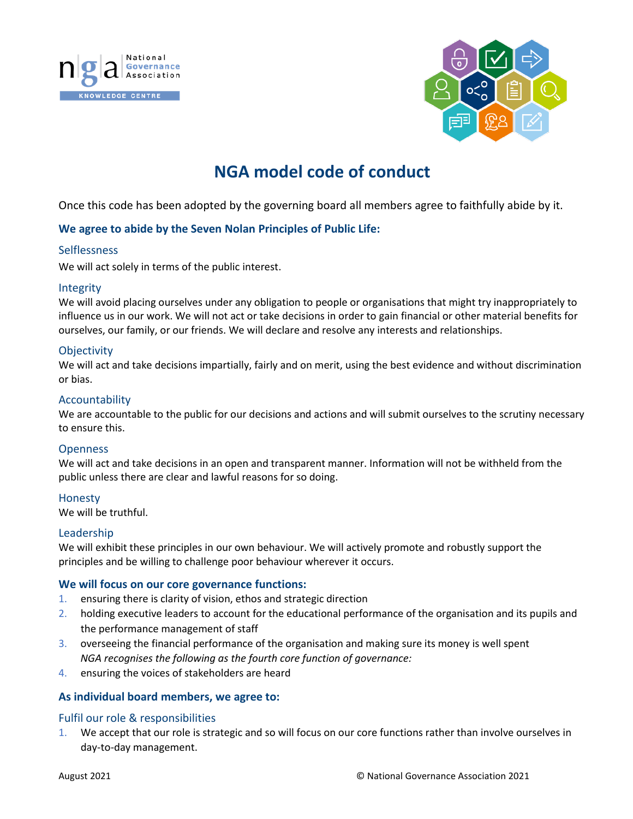



# **NGA model code of conduct**

Once this code has been adopted by the governing board all members agree to faithfully abide by it.

# **We agree to abide by the Seven Nolan Principles of Public Life:**

#### **Selflessness**

We will act solely in terms of the public interest.

#### Integrity

We will avoid placing ourselves under any obligation to people or organisations that might try inappropriately to influence us in our work. We will not act or take decisions in order to gain financial or other material benefits for ourselves, our family, or our friends. We will declare and resolve any interests and relationships.

# **Objectivity**

We will act and take decisions impartially, fairly and on merit, using the best evidence and without discrimination or bias.

#### Accountability

We are accountable to the public for our decisions and actions and will submit ourselves to the scrutiny necessary to ensure this.

### **Openness**

We will act and take decisions in an open and transparent manner. Information will not be withheld from the public unless there are clear and lawful reasons for so doing.

#### Honesty

We will be truthful.

#### Leadership

We will exhibit these principles in our own behaviour. We will actively promote and robustly support the principles and be willing to challenge poor behaviour wherever it occurs.

#### **We will focus on our core governance functions:**

- 1. ensuring there is clarity of vision, ethos and strategic direction
- 2. holding executive leaders to account for the educational performance of the organisation and its pupils and the performance management of staff
- 3. overseeing the financial performance of the organisation and making sure its money is well spent *NGA recognises the following as the fourth core function of governance:*
- 4. ensuring the voices of stakeholders are heard

#### **As individual board members, we agree to:**

#### Fulfil our role & responsibilities

1. We accept that our role is strategic and so will focus on our core functions rather than involve ourselves in day-to-day management.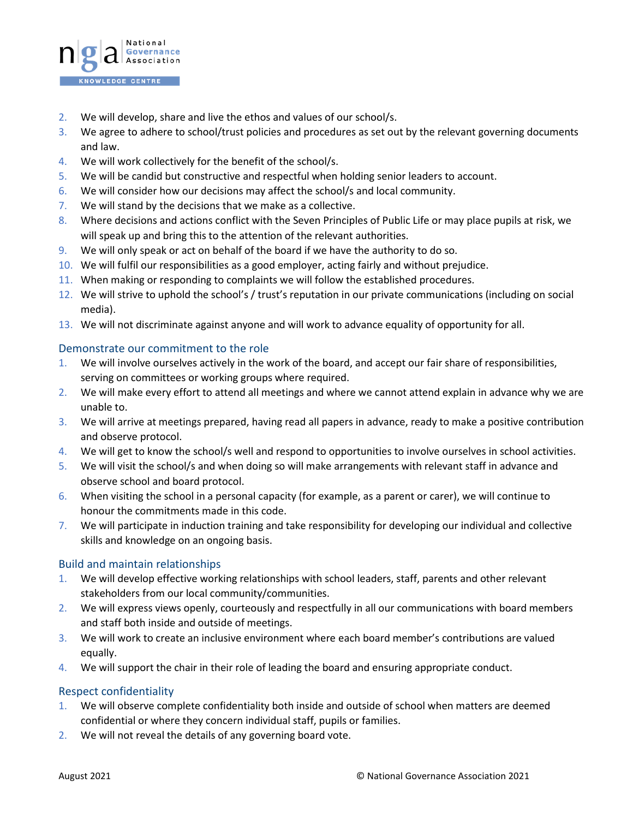

- 2. We will develop, share and live the ethos and values of our school/s.
- 3. We agree to adhere to school/trust policies and procedures as set out by the relevant governing documents and law.
- 4. We will work collectively for the benefit of the school/s.
- 5. We will be candid but constructive and respectful when holding senior leaders to account.
- 6. We will consider how our decisions may affect the school/s and local community.
- 7. We will stand by the decisions that we make as a collective.
- 8. Where decisions and actions conflict with the Seven Principles of Public Life or may place pupils at risk, we will speak up and bring this to the attention of the relevant authorities.
- 9. We will only speak or act on behalf of the board if we have the authority to do so.
- 10. We will fulfil our responsibilities as a good employer, acting fairly and without prejudice.
- 11. When making or responding to complaints we will follow the established procedures.
- 12. We will strive to uphold the school's / trust's reputation in our private communications (including on social media).
- 13. We will not discriminate against anyone and will work to advance equality of opportunity for all.

# Demonstrate our commitment to the role

- 1. We will involve ourselves actively in the work of the board, and accept our fair share of responsibilities, serving on committees or working groups where required.
- 2. We will make every effort to attend all meetings and where we cannot attend explain in advance why we are unable to.
- 3. We will arrive at meetings prepared, having read all papers in advance, ready to make a positive contribution and observe protocol.
- 4. We will get to know the school/s well and respond to opportunities to involve ourselves in school activities.
- 5. We will visit the school/s and when doing so will make arrangements with relevant staff in advance and observe school and board protocol.
- 6. When visiting the school in a personal capacity (for example, as a parent or carer), we will continue to honour the commitments made in this code.
- 7. We will participate in induction training and take responsibility for developing our individual and collective skills and knowledge on an ongoing basis.

#### Build and maintain relationships

- 1. We will develop effective working relationships with school leaders, staff, parents and other relevant stakeholders from our local community/communities.
- 2. We will express views openly, courteously and respectfully in all our communications with board members and staff both inside and outside of meetings.
- 3. We will work to create an inclusive environment where each board member's contributions are valued equally.
- 4. We will support the chair in their role of leading the board and ensuring appropriate conduct.

# Respect confidentiality

- 1. We will observe complete confidentiality both inside and outside of school when matters are deemed confidential or where they concern individual staff, pupils or families.
- 2. We will not reveal the details of any governing board vote.